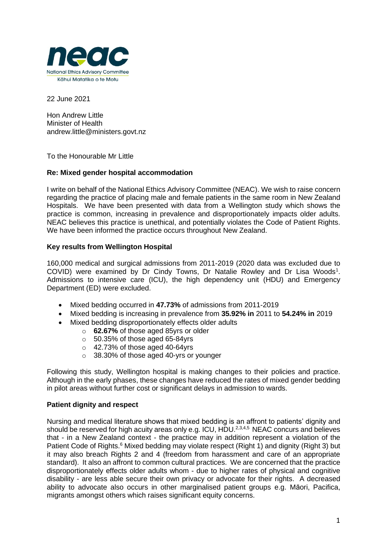

22 June 2021

Hon Andrew Little Minister of Health andrew.little@ministers.govt.nz

To the Honourable Mr Little

# **Re: Mixed gender hospital accommodation**

I write on behalf of the National Ethics Advisory Committee (NEAC). We wish to raise concern regarding the practice of placing male and female patients in the same room in New Zealand Hospitals. We have been presented with data from a Wellington study which shows the practice is common, increasing in prevalence and disproportionately impacts older adults. NEAC believes this practice is unethical, and potentially violates the Code of Patient Rights. We have been informed the practice occurs throughout New Zealand.

## **Key results from Wellington Hospital**

160,000 medical and surgical admissions from 2011-2019 (2020 data was excluded due to COVID) were examined by Dr Cindy Towns, Dr Natalie Rowley and Dr Lisa Woods<sup>1</sup>. Admissions to intensive care (ICU), the high dependency unit (HDU) and Emergency Department (ED) were excluded.

- Mixed bedding occurred in **47.73%** of admissions from 2011-2019
- Mixed bedding is increasing in prevalence from **35.92% in** 2011 to **54.24% in** 2019
- Mixed bedding disproportionately effects older adults
	- o **62.67%** of those aged 85yrs or older
	- $\circ$  50.35% of those aged 65-84yrs
	- o 42.73% of those aged 40-64yrs
	- o 38.30% of those aged 40-yrs or younger

Following this study, Wellington hospital is making changes to their policies and practice. Although in the early phases, these changes have reduced the rates of mixed gender bedding in pilot areas without further cost or significant delays in admission to wards.

# **Patient dignity and respect**

Nursing and medical literature shows that mixed bedding is an affront to patients' dignity and should be reserved for high acuity areas only e.g. ICU, HDU. $^{2,3,4,5}$  NEAC concurs and believes that - in a New Zealand context - the practice may in addition represent a violation of the Patient Code of Rights.<sup>6</sup> Mixed bedding may violate respect (Right 1) and dignity (Right 3) but it may also breach Rights 2 and 4 (freedom from harassment and care of an appropriate standard). It also an affront to common cultural practices. We are concerned that the practice disproportionately effects older adults whom - due to higher rates of physical and cognitive disability - are less able secure their own privacy or advocate for their rights. A decreased ability to advocate also occurs in other marginalised patient groups e.g. Māori, Pacifica, migrants amongst others which raises significant equity concerns.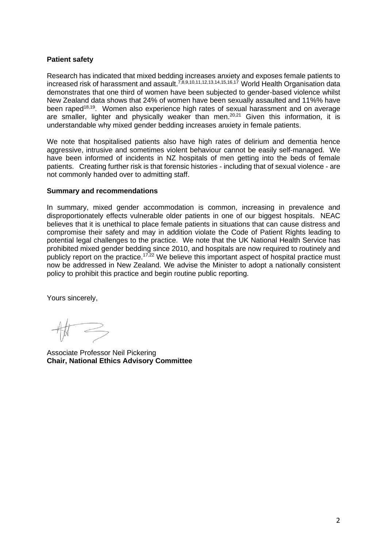# **Patient safety**

Research has indicated that mixed bedding increases anxiety and exposes female patients to increased risk of harassment and assault.<sup>7,8,9,10,11,12,13,14,15,16,17</sup> World Health Organisation data demonstrates that one third of women have been subjected to gender-based violence whilst New Zealand data shows that 24% of women have been sexually assaulted and 11%% have been raped<sup>18,19</sup>. Women also experience high rates of sexual harassment and on average are smaller, lighter and physically weaker than men.<sup>20,21</sup> Given this information, it is understandable why mixed gender bedding increases anxiety in female patients.

We note that hospitalised patients also have high rates of delirium and dementia hence aggressive, intrusive and sometimes violent behaviour cannot be easily self-managed. We have been informed of incidents in NZ hospitals of men getting into the beds of female patients. Creating further risk is that forensic histories - including that of sexual violence - are not commonly handed over to admitting staff.

## **Summary and recommendations**

In summary, mixed gender accommodation is common, increasing in prevalence and disproportionately effects vulnerable older patients in one of our biggest hospitals. NEAC believes that it is unethical to place female patients in situations that can cause distress and compromise their safety and may in addition violate the Code of Patient Rights leading to potential legal challenges to the practice. We note that the UK National Health Service has prohibited mixed gender bedding since 2010, and hospitals are now required to routinely and publicly report on the practice.<sup>17,22</sup> We believe this important aspect of hospital practice must now be addressed in New Zealand. We advise the Minister to adopt a nationally consistent policy to prohibit this practice and begin routine public reporting.

Yours sincerely,

Associate Professor Neil Pickering **Chair, National Ethics Advisory Committee**